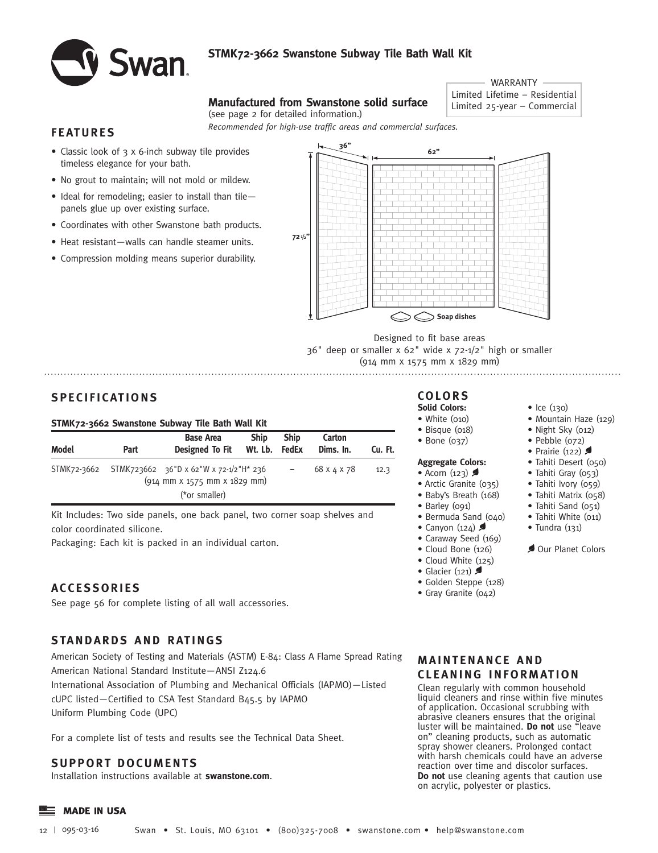

# **STMK72-3662 Swanstone Subway Tile Bath Wall Kit**

*Recommended for high-use traffic areas and commercial surfaces.* 

# WARRANTY Limited Lifetime – Residential **Manufactured** Limited 25-year – Commercial **from Swanstone solid surface** (see page 2 for detailed information.)

# **FEATURES**

- Classic look of 3 x 6-inch subway tile provides timeless elegance for your bath.
- No grout to maintain; will not mold or mildew.
- Ideal for remodeling; easier to install than tile panels glue up over existing surface.
- Coordinates with other Swanstone bath products.
- Heat resistant—walls can handle steamer units.
- Compression molding means superior durability.



Designed to fit base areas 36" deep or smaller x 62" wide x 72-1/2" high or smaller (914 mm x 1575 mm x 1829 mm)

# **SPECIFICATIONS**

## **STMK72-3662 Swanstone Subway Tile Bath Wall Kit**

| Model       | Part | <b>Base Area</b><br>Designed To Fit                                                                                               | <b>Ship</b><br>Wt. Lb. FedEx | <b>Ship</b> | Carton<br>Dims. In. | Cu. Ft. |
|-------------|------|-----------------------------------------------------------------------------------------------------------------------------------|------------------------------|-------------|---------------------|---------|
| STMK72-3662 |      | STMK723662 36"D x 62"W x 72-1/2"H* 236<br>$(914 \, \text{mm} \times 1575 \, \text{mm} \times 1829 \, \text{mm})$<br>(*or smaller) |                              |             | 68 x 4 x 78         | 12.3    |

Kit Includes: Two side panels, one back panel, two corner soap shelves and color coordinated silicone.

Packaging: Each kit is packed in an individual carton.

# **ACCESSORIES**

See page 56 for complete listing of all wall accessories.

# **STANDARDS AND RATINGS**

American Society of Testing and Materials (ASTM) E-84: Class A Flame Spread Rating American National Standard Institute—ANSI Z124.6 International Association of Plumbing and Mechanical Officials (IAPMO)—Listed

cUPC listed—Certified to CSA Test Standard B45.5 by IAPMO Uniform Plumbing Code (UPC)

For a complete list of tests and results see the Technical Data Sheet.

# **SUPPORT DOCUMENTS**

Installation instructions available at **swanstone.com**.

- 
- 

### **Aggregate Colors:**

- Acorn  $(123)$
- Arctic Granite (035)
- Baby's Breath (168)
- Barley (091)
- Bermuda Sand (040)
- Canyon  $(124)$
- Caraway Seed (169)
- Cloud Bone (126)
- Cloud White (125)
- Glacier  $(121)$
- Golden Steppe (128)
- Gray Granite (042)

#### • Ice (130) • Mountain Haze (129)

- Night Sky (012)
- Pebble (072)
- Prairie  $(122)$
- Tahiti Desert (050)
- Tahiti Gray (053)
- Tahiti Ivory (059)
- Tahiti Matrix (058)
- Tahiti Sand (051)
- Tahiti White (011)
- Tundra (131)

Our Planet Colors

# **MAINTENANCE AND CLEANING INFORMATION**

Clean regularly with common household liquid cleaners and rinse within five minutes of application. Occasional scrubbing with abrasive cleaners ensures that the original luster will be maintained. **Do not** use "leave on" cleaning products, such as automatic spray shower cleaners. Prolonged contact with harsh chemicals could have an adverse reaction over time and discolor surfaces. **Do not** use cleaning agents that caution use on acrylic, polyester or plastics.

**COLORS Solid Colors:**

#### • White (010) • Bisque (018)

- Bone (037)
-